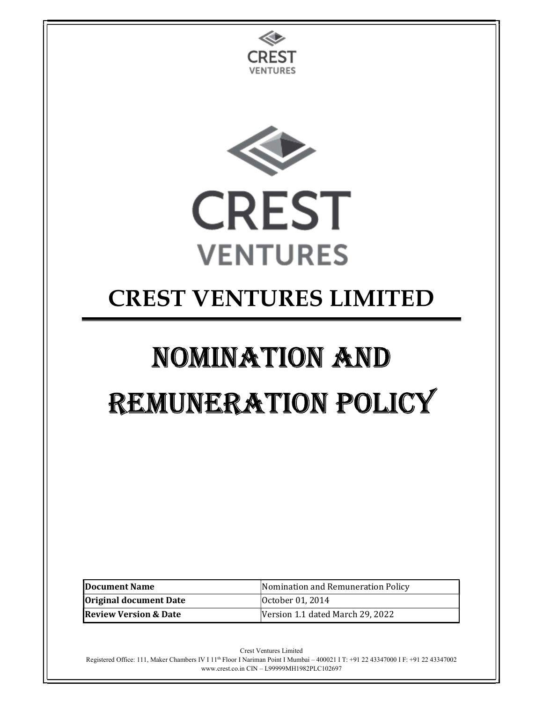

Registered Office: 111, Maker Chambers IV I 11th Floor I Nariman Point I Mumbai – 400021 I T: +91 22 43347000 I F: +91 22 43347002 www.crest.co.in CIN – L99999MH1982PLC102697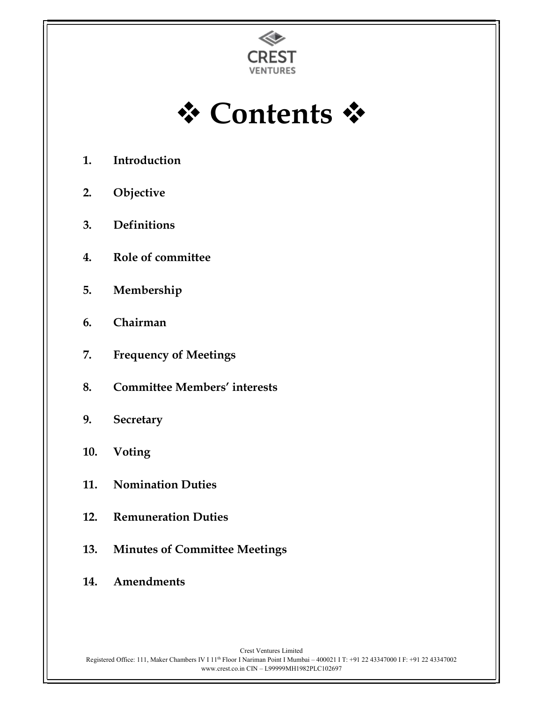

**† Contents †** 

- 1. Introduction
- 2. Objective
- 3. Definitions
- 4. Role of committee
- 5. Membership
- 6. Chairman
- 7. Frequency of Meetings
- 8. Committee Members' interests
- 9. Secretary
- 10. Voting
- 11. Nomination Duties
- 12. Remuneration Duties
- 13. Minutes of Committee Meetings
- 14. Amendments

Crest Ventures Limited Registered Office: 111, Maker Chambers IV I 11<sup>th</sup> Floor I Nariman Point I Mumbai – 400021 I T: +91 22 43347000 I F: +91 22 43347002 www.crest.co.in CIN – L99999MH1982PLC102697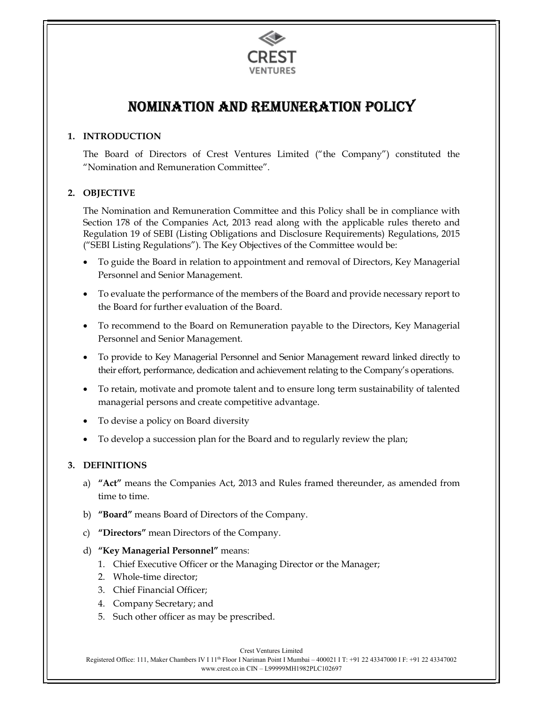

# NomiNatioN aNd RemuNeRatioN Policy

# 1. INTRODUCTION

The Board of Directors of Crest Ventures Limited ("the Company") constituted the "Nomination and Remuneration Committee".

# 2. OBJECTIVE

The Nomination and Remuneration Committee and this Policy shall be in compliance with Section 178 of the Companies Act, 2013 read along with the applicable rules thereto and Regulation 19 of SEBI (Listing Obligations and Disclosure Requirements) Regulations, 2015 ("SEBI Listing Regulations"). The Key Objectives of the Committee would be:

- To guide the Board in relation to appointment and removal of Directors, Key Managerial Personnel and Senior Management.
- To evaluate the performance of the members of the Board and provide necessary report to the Board for further evaluation of the Board.
- To recommend to the Board on Remuneration payable to the Directors, Key Managerial Personnel and Senior Management.
- To provide to Key Managerial Personnel and Senior Management reward linked directly to their effort, performance, dedication and achievement relating to the Company's operations.
- To retain, motivate and promote talent and to ensure long term sustainability of talented managerial persons and create competitive advantage.
- To devise a policy on Board diversity
- To develop a succession plan for the Board and to regularly review the plan;

#### 3. DEFINITIONS

- a) "Act" means the Companies Act, 2013 and Rules framed thereunder, as amended from time to time.
- b) "Board" means Board of Directors of the Company.
- c) "Directors" mean Directors of the Company.
- d) "Key Managerial Personnel" means:
	- 1. Chief Executive Officer or the Managing Director or the Manager;
	- 2. Whole-time director;
	- 3. Chief Financial Officer;
	- 4. Company Secretary; and
	- 5. Such other officer as may be prescribed.

Crest Ventures Limited

Registered Office: 111, Maker Chambers IV I 11th Floor I Nariman Point I Mumbai – 400021 I T: +91 22 43347000 I F: +91 22 43347002 www.crest.co.in CIN – L99999MH1982PLC102697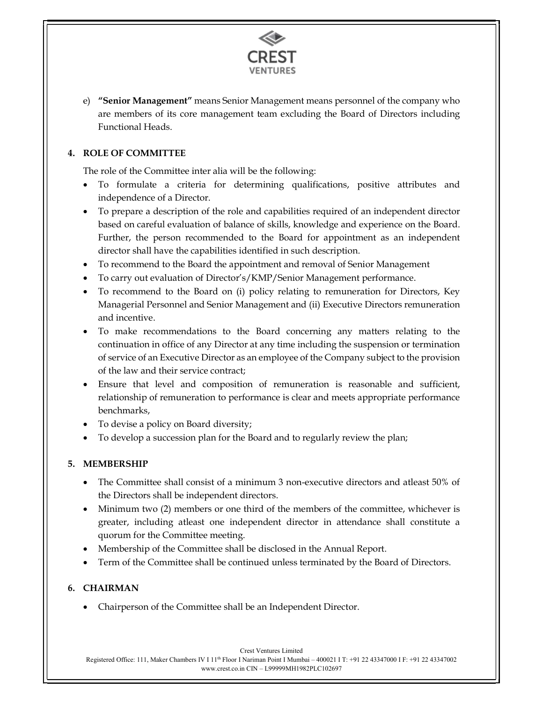

e) "Senior Management" means Senior Management means personnel of the company who are members of its core management team excluding the Board of Directors including Functional Heads.

# 4. ROLE OF COMMITTEE

The role of the Committee inter alia will be the following:

- To formulate a criteria for determining qualifications, positive attributes and independence of a Director.
- To prepare a description of the role and capabilities required of an independent director based on careful evaluation of balance of skills, knowledge and experience on the Board. Further, the person recommended to the Board for appointment as an independent director shall have the capabilities identified in such description.
- To recommend to the Board the appointment and removal of Senior Management
- To carry out evaluation of Director's/KMP/Senior Management performance.
- To recommend to the Board on (i) policy relating to remuneration for Directors, Key Managerial Personnel and Senior Management and (ii) Executive Directors remuneration and incentive.
- To make recommendations to the Board concerning any matters relating to the continuation in office of any Director at any time including the suspension or termination of service of an Executive Director as an employee of the Company subject to the provision of the law and their service contract;
- Ensure that level and composition of remuneration is reasonable and sufficient, relationship of remuneration to performance is clear and meets appropriate performance benchmarks,
- To devise a policy on Board diversity;
- To develop a succession plan for the Board and to regularly review the plan;

# 5. MEMBERSHIP

- The Committee shall consist of a minimum 3 non-executive directors and atleast 50% of the Directors shall be independent directors.
- Minimum two (2) members or one third of the members of the committee, whichever is greater, including atleast one independent director in attendance shall constitute a quorum for the Committee meeting.
- Membership of the Committee shall be disclosed in the Annual Report.
- Term of the Committee shall be continued unless terminated by the Board of Directors.

# 6. CHAIRMAN

Chairperson of the Committee shall be an Independent Director.

Crest Ventures Limited Registered Office: 111, Maker Chambers IV I 11th Floor I Nariman Point I Mumbai – 400021 I T: +91 22 43347000 I F: +91 22 43347002 www.crest.co.in CIN – L99999MH1982PLC102697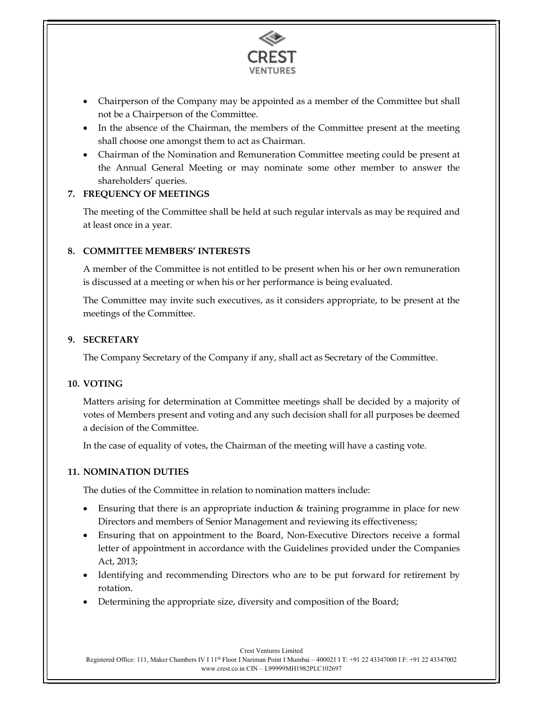

- Chairperson of the Company may be appointed as a member of the Committee but shall not be a Chairperson of the Committee.
- In the absence of the Chairman, the members of the Committee present at the meeting shall choose one amongst them to act as Chairman.
- Chairman of the Nomination and Remuneration Committee meeting could be present at the Annual General Meeting or may nominate some other member to answer the shareholders' queries.

#### 7. FREQUENCY OF MEETINGS

The meeting of the Committee shall be held at such regular intervals as may be required and at least once in a year.

# 8. COMMITTEE MEMBERS' INTERESTS

A member of the Committee is not entitled to be present when his or her own remuneration is discussed at a meeting or when his or her performance is being evaluated.

The Committee may invite such executives, as it considers appropriate, to be present at the meetings of the Committee.

#### 9. SECRETARY

The Company Secretary of the Company if any, shall act as Secretary of the Committee.

#### 10. VOTING

Matters arising for determination at Committee meetings shall be decided by a majority of votes of Members present and voting and any such decision shall for all purposes be deemed a decision of the Committee.

In the case of equality of votes, the Chairman of the meeting will have a casting vote.

# 11. NOMINATION DUTIES

The duties of the Committee in relation to nomination matters include:

- Ensuring that there is an appropriate induction & training programme in place for new Directors and members of Senior Management and reviewing its effectiveness;
- Ensuring that on appointment to the Board, Non-Executive Directors receive a formal letter of appointment in accordance with the Guidelines provided under the Companies Act, 2013;
- Identifying and recommending Directors who are to be put forward for retirement by rotation.
- Determining the appropriate size, diversity and composition of the Board;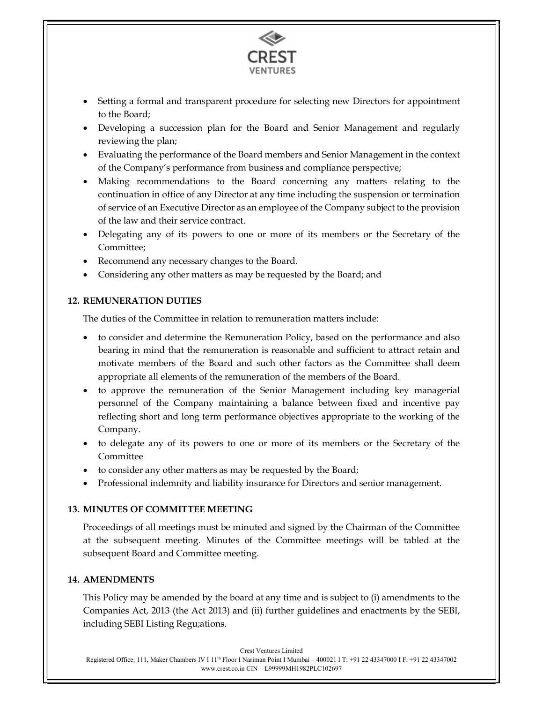

- Setting a formal and transparent procedure for selecting new Directors for appointment to the Board;
- Developing a succession plan for the Board and Senior Management and regularly reviewing the plan;
- Evaluating the performance of the Board members and Senior Management in the context of the Company's performance from business and compliance perspective;
- Making recommendations to the Board concerning any matters relating to the continuation in office of any Director at any time including the suspension or termination of service of an Executive Director as an employee of the Company subject to the provision of the law and their service contract.
- Delegating any of its powers to one or more of its members or the Secretary of the Committee;
- Recommend any necessary changes to the Board.
- Considering any other matters as may be requested by the Board; and

# 12. REMUNERATION DUTIES

The duties of the Committee in relation to remuneration matters include:

- to consider and determine the Remuneration Policy, based on the performance and also bearing in mind that the remuneration is reasonable and sufficient to attract retain and motivate members of the Board and such other factors as the Committee shall deem appropriate all elements of the remuneration of the members of the Board.
- to approve the remuneration of the Senior Management including key managerial personnel of the Company maintaining a balance between fixed and incentive pay reflecting short and long term performance objectives appropriate to the working of the Company.
- to delegate any of its powers to one or more of its members or the Secretary of the Committee
- to consider any other matters as may be requested by the Board;
- Professional indemnity and liability insurance for Directors and senior management.

# 13. MINUTES OF COMMITTEE MEETING

Proceedings of all meetings must be minuted and signed by the Chairman of the Committee at the subsequent meeting. Minutes of the Committee meetings will be tabled at the subsequent Board and Committee meeting.

# 14. AMENDMENTS

This Policy may be amended by the board at any time and is subject to (i) amendments to the Companies Act, 2013 (the Act 2013) and (ii) further guidelines and enactments by the SEBI, including SEBI Listing Regu;ations.

Crest Ventures Limited Registered Office: 111, Maker Chambers IV I 11th Floor I Nariman Point I Mumbai – 400021 I T: +91 22 43347000 I F: +91 22 43347002 www.crest.co.in CIN – L99999MH1982PLC102697